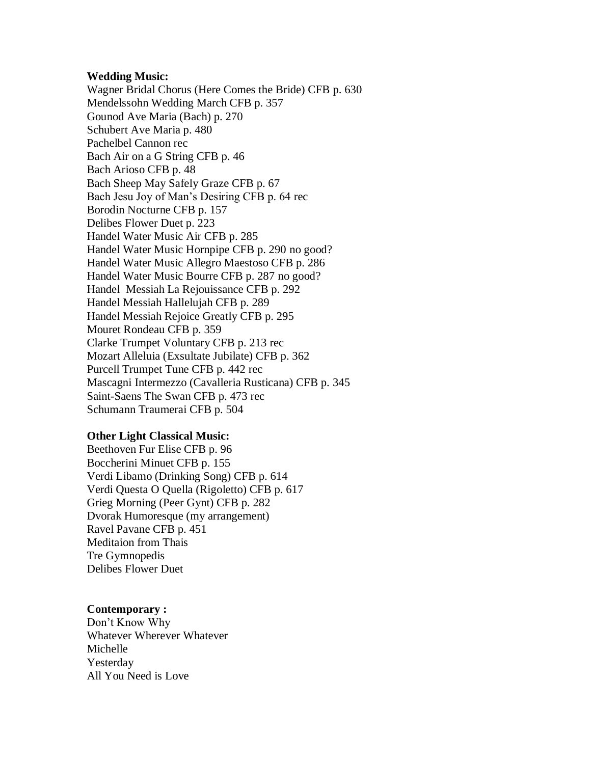## **Wedding Music:**

Wagner Bridal Chorus (Here Comes the Bride) CFB p. 630 Mendelssohn Wedding March CFB p. 357 Gounod Ave Maria (Bach) p. 270 Schubert Ave Maria p. 480 Pachelbel Cannon rec Bach Air on a G String CFB p. 46 Bach Arioso CFB p. 48 Bach Sheep May Safely Graze CFB p. 67 Bach Jesu Joy of Man's Desiring CFB p. 64 rec Borodin Nocturne CFB p. 157 Delibes Flower Duet p. 223 Handel Water Music Air CFB p. 285 Handel Water Music Hornpipe CFB p. 290 no good? Handel Water Music Allegro Maestoso CFB p. 286 Handel Water Music Bourre CFB p. 287 no good? Handel Messiah La Rejouissance CFB p. 292 Handel Messiah Hallelujah CFB p. 289 Handel Messiah Rejoice Greatly CFB p. 295 Mouret Rondeau CFB p. 359 Clarke Trumpet Voluntary CFB p. 213 rec Mozart Alleluia (Exsultate Jubilate) CFB p. 362 Purcell Trumpet Tune CFB p. 442 rec Mascagni Intermezzo (Cavalleria Rusticana) CFB p. 345 Saint-Saens The Swan CFB p. 473 rec Schumann Traumerai CFB p. 504

## **Other Light Classical Music:**

Beethoven Fur Elise CFB p. 96 Boccherini Minuet CFB p. 155 Verdi Libamo (Drinking Song) CFB p. 614 Verdi Questa O Quella (Rigoletto) CFB p. 617 Grieg Morning (Peer Gynt) CFB p. 282 Dvorak Humoresque (my arrangement) Ravel Pavane CFB p. 451 Meditaion from Thais Tre Gymnopedis Delibes Flower Duet

## **Contemporary :**

Don't Know Why Whatever Wherever Whatever Michelle Yesterday All You Need is Love